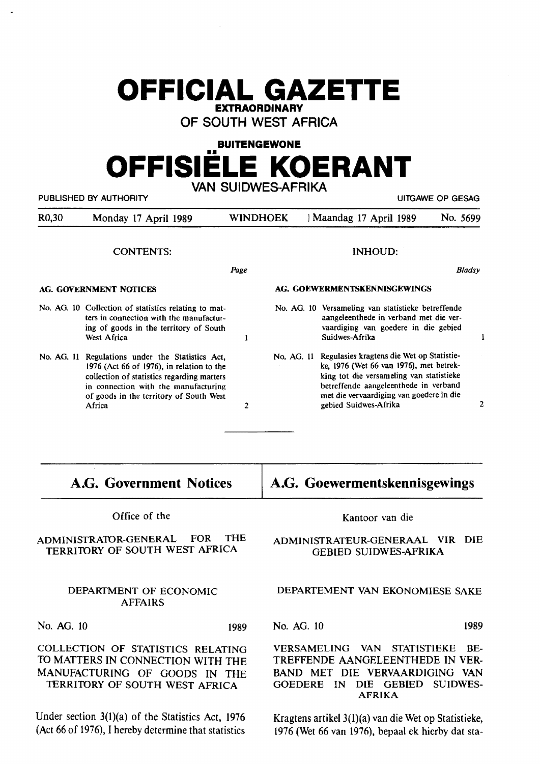# **OFFICIAL GAZETTE EXTRAORDINARY**

**OF SOUTH WEST AFRICA** 

# **BUITENGEWONE**  •• **OFFISIELE KOERANT VAN SUIDWES-AFRIKA**

| PUBLISHED BY AUTHORITY        |                                                                                                                                                                                                                                          |                |                              | <b>UITGAWE OP GESAG</b>                                                                                                                                                                                                                        |          |  |
|-------------------------------|------------------------------------------------------------------------------------------------------------------------------------------------------------------------------------------------------------------------------------------|----------------|------------------------------|------------------------------------------------------------------------------------------------------------------------------------------------------------------------------------------------------------------------------------------------|----------|--|
| R <sub>0,30</sub>             | Monday 17 April 1989                                                                                                                                                                                                                     | WINDHOEK       |                              | Maandag 17 April 1989                                                                                                                                                                                                                          | No. 5699 |  |
| <b>CONTENTS:</b>              |                                                                                                                                                                                                                                          |                | <b>INHOUD:</b>               |                                                                                                                                                                                                                                                |          |  |
| Page                          |                                                                                                                                                                                                                                          |                |                              |                                                                                                                                                                                                                                                | Bladsy   |  |
| <b>AG. GOVERNMENT NOTICES</b> |                                                                                                                                                                                                                                          |                | AG. GOEWERMENTSKENNISGEWINGS |                                                                                                                                                                                                                                                |          |  |
|                               | No. AG. 10 Collection of statistics relating to mat-<br>ters in connection with the manufactur-<br>ing of goods in the territory of South<br>West Africa                                                                                 | ı              |                              | No. AG. 10 Versameling van statistieke betreffende<br>aangeleenthede in verband met die ver-<br>vaardiging van goedere in die gebied<br>Suidwes-Afrika                                                                                         |          |  |
|                               | No. AG. 11 Regulations under the Statistics Act,<br>1976 (Act 66 of 1976), in relation to the<br>collection of statistics regarding matters<br>in connection with the manufacturing<br>of goods in the territory of South West<br>Africa | $\overline{2}$ | No. AG. 11                   | Regulasies kragtens die Wet op Statistie-<br>ke, 1976 (Wet 66 van 1976), met betrek-<br>king tot die versameling van statistieke<br>betreffende aangeleenthede in verband<br>met die vervaardiging van goedere in die<br>gebied Suidwes-Afrika |          |  |

**A.G. Government Notices** 

Office of the

ADMINISTRAIDR-GENERAL FOR THE TERRITORY OF SOUTH WEST AFRICA

### DEPARTMENT OF ECONOMIC AFFAIRS

No. AG. 10 1989

COLLECTION OF STATISTICS RELATING TO MATTERS IN CONNECTION WITH THE MANUFACTURING OF GOODS IN THE TERRITORY OF SOUTH WEST AFRICA

Under section 3(1)(a) of the Statistics Act, 1976 (Act 66 of 1976), I hereby determine that statistics

## **A.G. Goewermentskennisgewings**

#### Kantoor van die

#### ADMINISTRATEUR-GENERAAL VIR DIE GEBIED SUIDWES-AFRIKA

### DEPARTEMENT VAN EKONOMIESE SAKE

No. AG. 10 1989

 $\mathbf{I}$ 

VERSAMELTNG VAN STATISTIEKE BE-TREFFENDE AANGELEENTHEDE IN VER-BAND MET DIE VERVAARDIGING VAN GOEDERE IN DIE GEBIED SUIDWES-**AFRIKA** 

Kragtens artikel 3(l)(a) van die Wet op Statistieke, 1976 (Wet 66 van 1976), bepaal ek hierby dat sta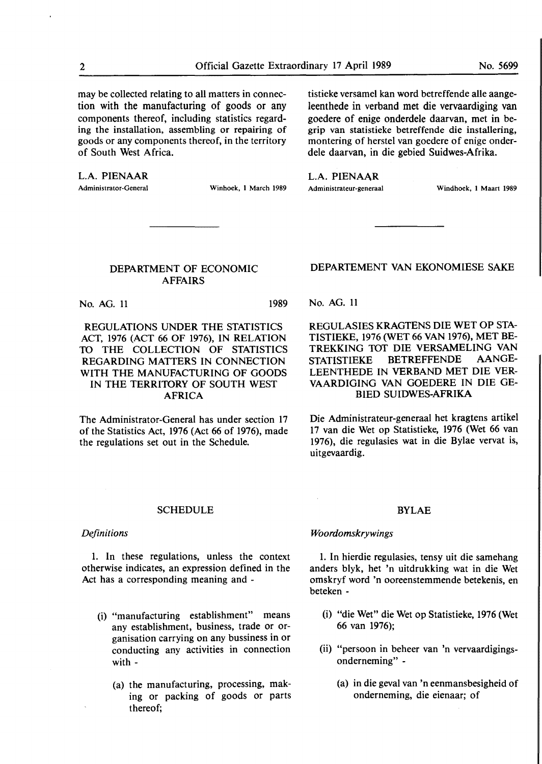may be collected relating to all matters in connection with the manufacturing of goods or any components thereof, including statistics regarding the installation, assembling or repairing of goods or **any** components thereof, in the territory of South **West** Africa.

**L.A. PIENAAR** 

Administrator-General Winhoek, l March 1989

tistieke versamel kan word betreffende alle aangeleenthede in verband met die vervaardiging van goedere of enige onderdele daarvan, met in begrip van statistieke betreffende die installering, montering of herstel van goedere of enige onderdele daarvan, in die gebied Suidwes-Afrika.

L.A. PIENAAR

Administrateur-generaal Windhoek, l Maart 1989

#### DEPARTMENT OF ECONOMIC AFFAIRS

No. AG. 11 1989

REGULATIONS UNDER THE STATISTICS ACT, 1976 (ACT 66 OF 1976), IN RELATION TO THE COLLECTION OF STATISTICS REGARDING MATTERS IN CONNECTION WITH THE MANUFACTURING OF GOODS IN THE TERRITORY OF SOUTH WEST AFRICA

The Administrator-General has under section 17 of the Statistics Act, 1976 (Act 66 of 1976), made the regulations set out **in** the Schedule.

#### DEPARTEMENT VAN EKONOMIESE SAKE

No. AG. 11

REGULASIES KRAGTENS DIE WET OP STA-TISTIEKE, 1976 (WET 66 VAN 1976), MET BE-TREKKING TOT DIE VERSAMELING VAN STATISTIEKE BETREFFENDE AANGE-LEENTHEDE IN VERBAND MET DIE VER-VAARDIGING VAN GOEDERE IN DIE GE-BIED SUIDWES-AFRIKA

Die Administrateur-generaal bet kragtens artikel 17 van die Wet op Statistieke, 1976 (Wet 66 van 1976), die regulasies wat in die Bylae vervat is, uitgevaardig.

#### SCHEDULE

#### *Definitions*

1. In these regulations, unless the context otherwise indicates, an expression defined in the Act has a corresponding meaning and -

- (i) "manufacturing establishment" means any establishment, business, trade or organisation carrying on any bussiness in or conducting any activities in connection with -
	- (a) the manufacturing, processing, making or packing of goods or parts thereof;

#### BYLAE

#### *Woordornskrywings*

1. In hierdie regulasies, tensy uit die samehang anders blyk, bet 'n uitdrukking wat in die Wet omskryf word 'n ooreenstemmende betekenis, en beteken -

- (i) "die Wet" die Wet op Statistieke, 1976 (Wet 66 van 1976);
- (ii) "persoon **in** beheer **van** 'n vervaardigingsonderneming" -
	- (a) in die geval van 'n eenmansbesigheid of onderneming, die eienaar; of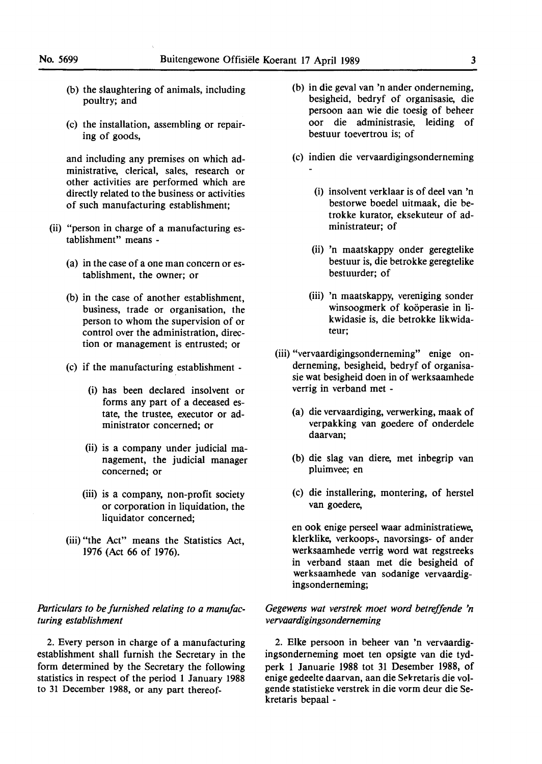- (b) the slaughtering of animals, including poultry; and
- (c) the installation, assembling or repairing of goods,

and including any premises on which administrative, clerical, sales, research or other activities are performed which are directly related to the business or activities of such manufacturing establishment;

- (ii) "person in charge of a manufacturing establishment" means -
	- (a) in the case of a one man concern or establishment, the owner; or
	- (b) in the case of another establishment, business, trade or organisation, the person to whom the supervision of or control over the administration, direction or management is entrusted; or
	- (c) if the manufacturing establishment
		- (i) has been declared insolvent or forms any part of a deceased estate, the trustee, executor or administrator concerned; or
		- (ii) is a company under judicial management, the judicial manager concerned; or
		- (iii) is a company, non-profit society or corporation in liquidation, the liquidator concerned;
	- (iii) "the Act" means the Statistics Act, 1976 (Act 66 of 1976).

#### *Particulars to be furnished relating to a manufacturing establishment*

2. Every person in charge of a manufacturing establishment shall furnish the Secretary in the form determined by the Secretary the following statistics in respect of the period **1** January **1988**  to 31 December 1988, or any part thereof-

- (b) in die geval van 'n ander onderneming, besigheid, bedryf of organisasie, die persoon aan wie die toesig of beheer oor die administrasie, leiding of bestuur toevertrou is; of
- (c) indien die vervaardigingsonderneming
	- (i) insolvent **verklaar** is **of deel** van 'n bestorwe boedel uitmaak, die betrokke kurator, eksekuteur of administrateur; of
	- (ii) 'n maatskappy onder geregtelike bestuur is, die betrokke geregtelike bestuurder; of
	- (iii) 'n maatskappy, vereniging sonder winsoogmerk of koöperasie in likwidasie is, die betrokke likwidateur;
- (iii) "vervaardigingsonderneming" enige onderneming, besigheid, bedryf of organisasie wat besigheid doen in of werksaamhede verrig in verband met -
	- (a) die vervaardiging, verwerking, maak of verpakking van goedere of onderdele daarvan;
	- (b) die slag van diere, met inbegrip van pluimvee; en
	- (c) die installering, montering, of herstel van goedere,

en **ook** enige perseel waar administratiewe, klerklike, verkoops-, navorsings- of ander werksaamhede verrig word wat regstreeks in verband staan met die besigheid of werksaamhede van sodanige vervaardigingsonderneming;

#### *Gegewens wat verstrek moet word betreffende 'n vervaardigingsonderneming*

2. Elke persoon in beheer van 'n vervaardigingsonderneming moet ten opsigte van die tydperk 1 Januarie 1988 tot 31 Desember 1988, of enige gedeelte daarvan, aan die Sekretaris die **vol**gende statistieke verstrek in die vorm deur die Sekretaris bepaal -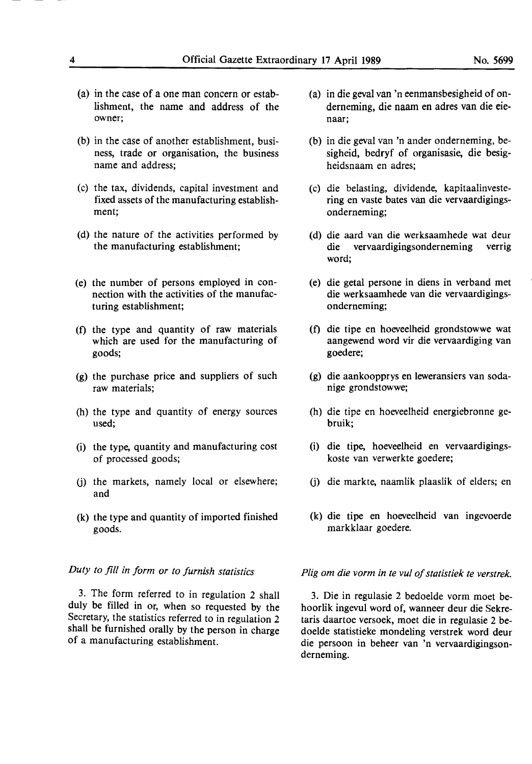- (a) in the case of a one man concern or establishment, the name and address of the owner;
- (b) in the case of another establishment, business, trade or organisation, the business name and address;
- (c) the tax, dividends, capital investment and fixed assets of the manufacturing establishment;
- (d) the nature of the activities performed by the manufacturing establishment;
- (e) the number of persons employed in connection with the activities of the manufacturing establishment;
- (f) the type and quantity of raw materials which are used for the manufacturing of goods;
- (g) the purchase price and suppliers of such raw materials;
- (h) the type and quantity of energy sources used;
- (i) the type, quantity and manufacturing cost of processed goods;
- G) the markets, namely local or elsewhere; and
- (k) the type and quantity of imported finished goods.

#### *Duty to fill in form or to furnish statistics*

3. The form referred to in regulation 2 shall duly be filled in or, when so requested by the Secretary, the statistics referred to in regulation 2 shall be furnished orally by the person in charge of a manufacturing establishment.

- (a) in die geval van 'n eenmansbesigheid of onderneming, die naam en adres van die eienaar;
- (b) in die geval van 'n ander onderneming, besigheid, bedryf of organisasie, die besigheidsnaam en adres;
- (c) die belasting, dividende, kapitaalinvestering en vaste bates van die vervaardigingsonderneming;
- (d) die aard van die werksaamhede wat deur die vervaardigingsonderneming verrig word;
- ( e) die getal persone in diens in verband met die werksaamhede van die vervaardigingsonderneming;
- (f) die tipe en hoeveelheid grondstowwe wat aangewend word vir die vervaardiging van goedere;
- (g) die aankoopprys en leweransiers van sodanige grondstowwe;
- (h) die tipe en hoeveelheid energiebronne gebruik;
- (i) die tipe, hoeveelheid en vervaardigingskoste van verwerkte goedere;
- G) die markte, naamlik plaaslik of elders; en
- (k) die tipe en hoeveelheid van ingevoerde markklaar goedere.

#### *Plig om die vorm in te vu/ of statistiek te verstrek.*

3. Die in regulasie 2 bedoelde vorm moet behoorlik ingevul word of, wanneer deur die Sekretaris daartoe versoek, moet die in regulasie 2 bedoelde statistieke mondeling verstrek word deur die persoon in beheer van 'n vervaardigingsonderneming.